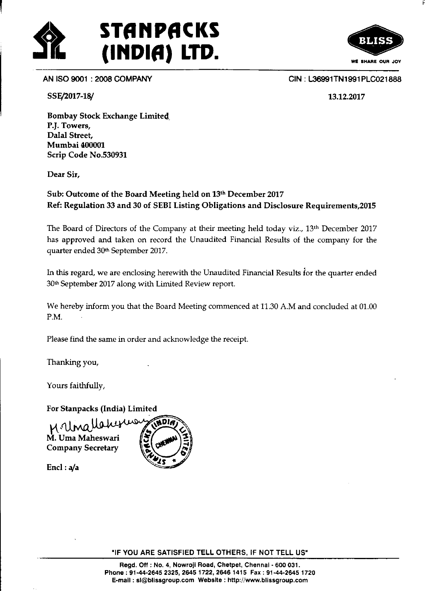



AN ISO 9@1 :2008 COMPANY

SSE/2017-18/

CIN: L36991TN1991PLC021888

13.12.2077

Bombay Stock Exchange Limited, P.|. Towers, Dalal Street, Mumbai 400001 Scrip Code No.530931

Dear Sir,

## Sub: Outcome of the Board Meeting held on 13th December 2017 Ref: Regulation 33 and 30 of SEBI Listing Obligations and Disclosure Requirements,20l5

The Board of Directors of the Company at their meeting held today viz.,  $13<sup>th</sup>$  December 2017 has approved and taken on record the Unaudited Financial Results of the company for the quarter ended 30<sup>th</sup> September 2017.

ln this regard, we are enclosing herewith the Unaudited Financial Results for the quarter ended 30<sup>th</sup> September 2017 along with Limited Review report.

We hereby inform you that the Board Meeting commenced at 11.30 A.M and concluded at 01.00 P.M.

Please find the same in order and acknowledge the receipt.

Thanking you,

Yours faithfully,

For Stanpacks (India) Limited

M. UMQ W<sup>UW</sup><br>M. Uma Maheswari Company Secretary



Encl :  $a/a$ 

"IF YOU ARE SATISFIED TELL OTHERS, IF NOT TELL US"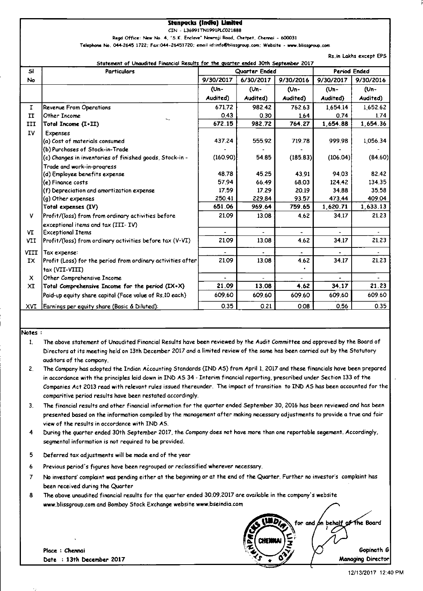#### **Stanpacks (India) Limited**

CIN - L36991TN1991PLC021888

Regd Office: New No. 4, "S.K. Enclave" Nowroji Road, Chetpet, Chennai - 600031

Telephone No. 044-2645 1722; Fax:044-26451720; email id:info@blissgroup.com; Website - www.blissgroup.com

Rs.in Lakhs except EPS

| Statement of Unaudited Financial Results for the guarter ended 30th September 2017 |                                                             |               |           |           |                     |           |  |
|------------------------------------------------------------------------------------|-------------------------------------------------------------|---------------|-----------|-----------|---------------------|-----------|--|
| $\mathsf{sl}$                                                                      | <b>Particulars</b>                                          | Quarter Ended |           |           | <b>Period Ended</b> |           |  |
| No                                                                                 |                                                             | 9/30/2017     | 6/30/2017 | 9/30/2016 | 9/30/2017           | 9/30/2016 |  |
|                                                                                    |                                                             | (Un-          | (Un-      | (Un-      | (Un-                | (Un-      |  |
|                                                                                    |                                                             | Audited)      | Audited)  | Audited)  | Audited)            | Audited)  |  |
| $\mathbf{I}$                                                                       | <b>Revenue From Operations</b>                              | 671.72        | 982.42    | 762.63    | 1,654.14            | 1,652.62  |  |
| $\mathbf{H}$                                                                       | Other Income                                                | 0.43          | 0.30      | 1.64      | 0.74                | 1.74      |  |
| III                                                                                | Total Income (I+II)                                         | 672.15        | 982.72    | 764.27    | 1,654.88            | 1,654.36  |  |
| IV                                                                                 | <b>Expenses</b>                                             |               |           |           |                     |           |  |
|                                                                                    | (a) Cost of materials consumed                              | 437.24        | 555.92    | 719.78    | 999.98              | 1,056.34  |  |
|                                                                                    | (b) Purchases of Stock-in-Trade                             |               |           |           |                     |           |  |
|                                                                                    | (c) Changes in inventories of finished goods, Stock-in -    | (160.90)      | 54.85     | (185.83)  | (106.04)            | (84.60)   |  |
|                                                                                    | Trade and work-in-progress                                  |               |           |           |                     |           |  |
|                                                                                    | (d) Employee benefits expense                               | 48.78         | 45.25     | 43.91     | 94.03               | 82.42     |  |
|                                                                                    | (e) Finance costs                                           | 57.94         | 66.49     | 68.03     | 124.42              | 134 35    |  |
|                                                                                    | (f) Depreciation and amortization expense                   | 17.59         | 17.29     | 20.19     | 34.88               | 35.58     |  |
|                                                                                    | (g) Other expenses                                          | 250.41        | 229.84    | 93.57     | 473.44              | 409.04    |  |
|                                                                                    | Total expenses (IV)                                         | 651.06        | 969.64    | 759.65    | 1,620.71            | 1,633.13  |  |
| ٧                                                                                  | Profit/(loss) from from ordinary activities before          | 21.09         | 13.08     | 4.62      | 34.17               | 21.23     |  |
|                                                                                    | exceptional items and $tax$ $(TIT-TV)$                      |               |           |           |                     |           |  |
| VI                                                                                 | <b>Exceptional Items</b>                                    |               |           |           |                     |           |  |
| VII                                                                                | Profit/(loss) from ordinary activities before tax (V-VI)    | 21.09         | 13.08     | 4.62      | 34.17               | 2123      |  |
| VIII                                                                               | Tax expense:                                                |               |           |           |                     |           |  |
| IX                                                                                 | Profit (Loss) for the period from ordinary activities after | 21.09         | 13.08     | 4.62      | 34.17               | 21.23     |  |
|                                                                                    | tax (VII-VIII)                                              |               |           | ٠         |                     |           |  |
| X                                                                                  | Other Comprehensive Income                                  |               |           |           |                     | $\sim$    |  |
| XI                                                                                 | Total Comprehensive Income for the period $(IX+X)$          | 21.09         | 13.08     | 4.62      | 34.17               | 21.23     |  |
|                                                                                    | Paid-up equity share capital (Face value of Rs.10 each)     | 609.60        | 609.60    | 609.60    | 609.60              | 609.60    |  |
|                                                                                    | XVI   Earnings per equity share (Basic & Diluted):          | 0.35          | 0.21      | 0.08      | 0.56                | 0.35      |  |

#### Notes:

The above statement of Unaudited Financial Results have been reviewed by the Audit Committee and approved by the Board of  $\mathbf{1}$ Directors at its meeting held on 13th December 2017 and a limited review of the same has been carried out by the Statutory auditors of the company.

 $2.$ The Company has adopted the Indian Accounting Standards (IND AS) from April 1, 2017 and these financials have been prepared in accordance with the principles laid down in IND AS 34 - Interim financial reporting, prescribed under Section 133 of the Companies Act 2013 read with relevant rules issued thereunder. The impact of transition to IND AS has been accounted for the comparitive period results have been restated accordingly.

The financial results and other financial information for the quarter ended September 30, 2016 has been reviewed and has been  $3<sub>1</sub>$ presented based on the information compiled by the management after making necessary adjustments to provide a true and fair view of the results in accordance with IND AS.

 $\overline{\mathbf{4}}$ During the quarter ended 30th September 2017, the Company does not have more than one reportable segement. Accordingly, segmental information is not required to be provided.

- 5 Deferred tax adjustments will be made end of the year
- Previous period's figures have been regrouped or reclassified wherever necessary. 6
- $\overline{7}$ No investors' complaint was pending either at the beginning or at the end of the Quarter. Further no investor's complaint has been received during the Quarter
- 8 The above unaudited financial results for the quarter ended 30.09.2017 are available in the company's website www.blissgroup.com and Bombay Stock Exchange website www.bseindia.com

Place : Chennai Date : 13th December 2017



Gopinath G

for and ón behalf o⊁the Board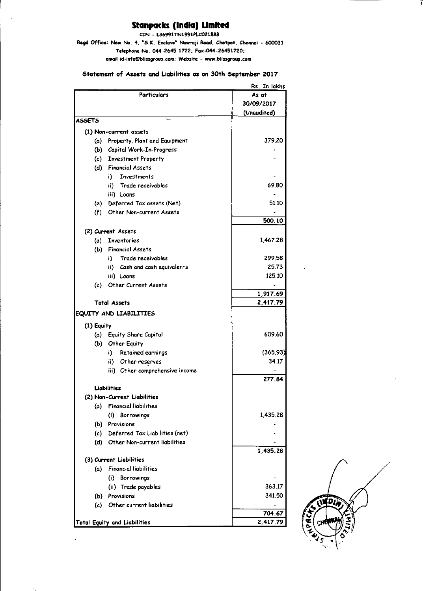# Stanpacks (India) Limited

CIN - L36991TN1991PLC021888

Regd Office: New No. 4, "S.K. Enclave" Nowroji Road, Chetpet, Chennai - 600031 Telephone No. 044-2645 1722; Fax:044-26451720; email id:info@blissgroup.com; Website - www.blissgroup.com

Statement of Assets and Liabilities as on 30th September 2017

|                                     | Rs. In lakhs                    |             |
|-------------------------------------|---------------------------------|-------------|
|                                     | As at                           |             |
|                                     |                                 | 30/09/2017  |
|                                     |                                 | (Unaudited) |
| <b>ASSETS</b>                       |                                 |             |
|                                     | (1) Non-current assets          |             |
| (a)                                 | Property, Plant and Equipment   | 379.20      |
|                                     | (b) Capital Work-In-Progress    |             |
|                                     | (c) Investment Property         |             |
| (d)                                 | <b>Financial Assets</b>         |             |
|                                     | i) -<br><b>Investments</b>      |             |
|                                     | ii) Trade receivables           | 69.80       |
|                                     |                                 |             |
|                                     | iii) Loans                      | 51 10       |
|                                     | (e) Deferred Tax assets (Net)   |             |
| (f)                                 | <b>Other Non-current Assets</b> |             |
|                                     |                                 | 500 10      |
|                                     | (2) Current Assets              |             |
|                                     | (a) Inventories                 | 146728      |
|                                     | (b) Financial Assets            |             |
|                                     | i) Trade receivables            | 299.58      |
|                                     | ii) Cash and cash equivalents   | 25.73       |
|                                     | iii) Loans                      | 125.10      |
| (c) -                               | <b>Other Current Assets</b>     |             |
|                                     |                                 | 1,917.69    |
|                                     | <b>Total Assets</b>             | 2,417.79    |
|                                     | EQUITY AND LIABILITIES          |             |
|                                     |                                 |             |
| (1) Equity                          |                                 |             |
|                                     | (a) Equity Share Capital        | 609 60      |
|                                     | (b) Other Equity                |             |
|                                     | Retained earnings<br>i).        | (365.93)    |
|                                     | ii) Other reserves              | 34 17       |
|                                     | iii) Other comprehensive income |             |
|                                     |                                 | 277.84      |
| Liabilities                         |                                 |             |
|                                     | (2) Non-Current Liabilities     |             |
| (a)                                 | <b>Financial liabilities</b>    |             |
|                                     | (i) Borrowings                  | 1,435.28    |
| (b)                                 | Provisions                      |             |
| (c)                                 | Deferred Tax Liabilities (net)  |             |
| (d)                                 | Other Non-current liabilities   |             |
|                                     |                                 | 1,435.28    |
| (3) Current Liabilities             |                                 |             |
| (a)                                 | <b>Financial liabilities</b>    |             |
|                                     | (i) Borrowings                  |             |
|                                     | (ii) Trade payables             | 363.17      |
|                                     | (b) Provisions                  | 34150       |
| (c)                                 | Other current liabilities       |             |
|                                     |                                 | 704.67      |
| <b>Total Equity and Liabilities</b> | 2,417.79                        |             |